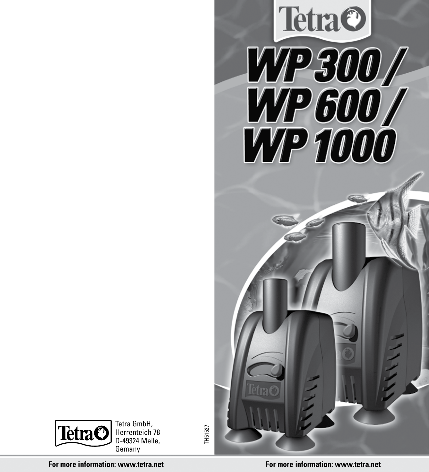



**For more information: www.tetra.net For more information: www.tetra.net**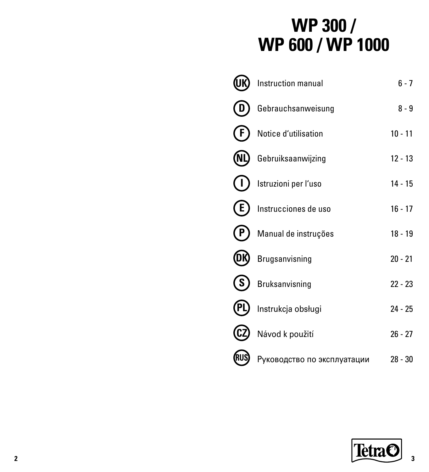# **WP 300 / WP 600 / WP 1000**

|       | Instruction manual          | $6 - 7$   |
|-------|-----------------------------|-----------|
|       | Gebrauchsanweisung          | $8 - 9$   |
|       | Notice d'utilisation        | $10 - 11$ |
| (NL)  | Gebruiksaanwijzing          | $12 - 13$ |
|       | Istruzioni per l'uso        | $14 - 15$ |
| E.    | Instrucciones de uso        | $16 - 17$ |
|       | Manual de instruções        | 18 - 19   |
|       | Brugsanvisning              | $20 - 21$ |
| S.    | Bruksanvisning              | $22 - 23$ |
| (PL   | Instrukcja obsługi          | $24 - 25$ |
|       | Návod k použití             | $26 - 27$ |
| (RUS) | Руководство по эксплуатации | $28 - 30$ |

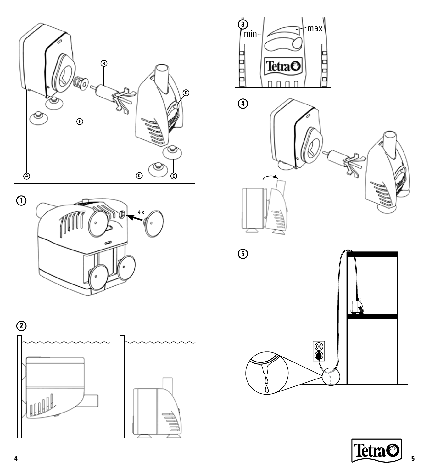







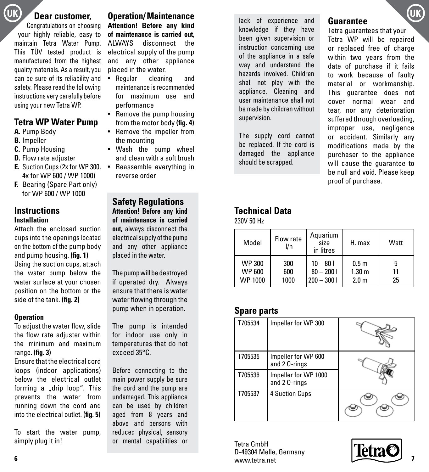Congratulations on choosing your highly reliable, easy to maintain Tetra Water Pump. This TÜV tested product is manufactured from the highest quality materials. As a result, you can be sure of its reliability and safety. Please read the following instructions very carefully before using your new Tetra WP.

### **Tetra WP Water Pump**

- **A.** Pump Body
- **B.** Impeller
- **C.** Pump Housing
- **D.** Flow rate adjuster
- **E.** Suction Cups (2x for WP 300, Reassemble everything in 4x for WP 600 / WP 1000)
- **F.** Bearing (Spare Part only) for WP 600 / WP 1000

#### **Instructions Installation**

Attach the enclosed suction cups into the openings located on the bottom of the pump body and pump housing. **(fig. 1)** Using the suction cups, attach the water pump below the water surface at your chosen position on the bottom or the side of the tank. **(fig. 2)**

#### **Operation**

To adjust the water flow, slide the flow rate adiuster within the minimum and maximum range. **(fig. 3)**

Ensure that the electrical cord loops (indoor applications) below the electrical outlet forming a "drip loop". This prevents the water from running down the cord and into the electrical outlet. (**fig. 5)**

To start the water pump, simply plug it in!

UK **Dear customer, Operation/Maintenance Lack of experience and Customers (UK Attention! Before any kind of maintenance is carried out,** ALWAYS disconnect the electrical supply of the pump and any other appliance placed in the water.

- Regular cleaning and maintenance is recommended for maximum use and performance
- Remove the pump housing from the motor body **(fig. 4)**
- Remove the impeller from the mounting
- Wash the pump wheel and clean with a soft brush
- reverse order

**Safety Regulations Attention! Before any kind of maintenance is carried out,** always disconnect the electrical supply of the pump and any other appliance placed in the water.

The pump will be destroyed if operated dry. Always ensure that there is water water flowing through the pump when in operation.

The pump is intended for indoor use only in temperatures that do not exceed 35°C.

Before connecting to the main power supply be sure the cord and the pump are undamaged. This appliance can be used by children aged from 8 years and above and persons with reduced physical, sensory or mental capabilities or lack of experience and knowledge if they have been given supervision or instruction concerning use of the appliance in a safe way and understand the hazards involved. Children shall not play with the appliance. Cleaning and user maintenance shall not be made by children without supervision.

The supply cord cannot be replaced. If the cord is damaged the appliance should be scrapped.

### **Guarantee**

Tetra guarantees that your Tetra WP will be repaired or replaced free of charge within two years from the date of purchase if it fails to work because of faulty material or workmanship. This guarantee does not cover normal wear and tear, nor any deterioration suffered through overloading, improper use, negligence or accident. Similarly any modifications made by the purchaser to the appliance will cause the guarantee to be null and void. Please keep proof of purchase.

### **Technical Data**

230V 50 Hz

| Model   | Flow rate<br>l/h | Aquarium<br>size<br>in litres | H. max            | Watt |
|---------|------------------|-------------------------------|-------------------|------|
| WP 300  | 300              | $10 - 801$                    | 0.5 <sub>m</sub>  | 5    |
| WP 600  | 600              | $80 - 2001$                   | 1.30 <sub>m</sub> | 11   |
| WP 1000 | 1000             | $200 - 3001$                  | 2.0 <sub>m</sub>  | 25   |

### **Spare parts**

| T705534 | Impeller for WP 300                   |  |
|---------|---------------------------------------|--|
| T705535 | Impeller for WP 600<br>and 2 0-rings  |  |
| T705536 | Impeller for WP 1000<br>and 2 0-rings |  |
| T705537 | <b>4 Suction Cups</b>                 |  |

Tetra GmbH D-49304 Melle, Germany www.tetra.net **6 7**

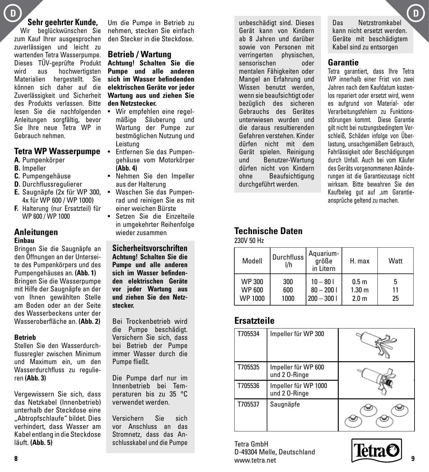### **Sehr geehrter Kunde,**

Wir beglückwünschen Sie zum Kauf Ihrer ausgesprochen zuverlässigen und leicht zu wartenden Tetra Wasserpumpe. Dieses TÜV-geprüfte Produkt aus hochwertigsten Materialien hergestellt. Sie können sich daher auf die Zuverlässigkeit und Sicherheit des Produkts verlassen. Bitte lesen Sie die nachfolgenden Anleitungen sorgfältig, bevor Sie Ihre neue Tetra WP in Gebrauch nehmen.

#### **Tetra WP Wasserpumpe**

- **A.** Pumpenkörper
- **B.** Impeller
- **C.** Pumpengehäuse
- **D.** Durchflussregulierer
- **E.** Saugnäpfe (2x für WP 300, Waschen Sie das Pumpen-4x für WP 600 / WP 1000)
- **F.** Halterung (nur Ersatzteil) für WP 600 / WP 1000

#### **Anleitungen Einbau**

Bringen Sie die Saugnäpfe an den Öffnungen an der Unterseite des Pumpenkörpers und des Pumpengehäuses an. **(Abb. 1)** Bringen Sie die Wasserpumpe mit Hilfe der Saugnäpfe an der von Ihnen gewählten Stelle am Boden oder an der Seite des Wasserbeckens unter der Wasseroberfläche an. **(Abb. 2)**

#### **Betrieb**

Stellen Sie den Wasserdurchflussregler zwischen Minimum und Maximum ein, um den Wasserdurchfluss zu regulieren **(Abb. 3)**

Vergewissern Sie sich, dass das Netzkabel (Innenbetrieb) unterhalb der Steckdose eine "Abtropfschlaufe" bildet. Dies verhindert, dass Wasser am Kabel entlang in die Steckdose läuft. **(Abb. 5)** 

Um die Pumpe in Betrieb zu nehmen, stecken Sie einfach den Stecker in die Steckdose.

#### **Betrieb / Wartung**

**Achtung! Schalten Sie die Pumpe und alle anderen sich im Wasser befindenden elektrischen Geräte vor jeder Wartung aus und ziehen Sie den Netzstecker.** 

- Wir empfehlen eine regelmäßige Säuberung und Wartung der Pumpe zur bestmöglichen Nutzung und Leistung
- Entfernen Sie das Pumpengehäuse vom Motorkörper **(Abb. 4)**
- Nehmen Sie den Impeller aus der Halterung
- rad und reinigen Sie es mit einer weichen Bürste
- Setzen Sie die Einzelteile in umgekehrter Reihenfolge wieder zusammen

**Sicherheitsvorschriften Achtung! Schalten Sie die Pumpe und alle anderen sich im Wasser befindenden elektrischen Geräte vor jeder Wartung aus und ziehen Sie den Netzstecker.**

Bei Trockenbetrieb wird die Pumpe beschädigt. Versichern Sie sich, dass bei Betrieb der Pumpe immer Wasser durch die Pumpe fließt.

Die Pumpe darf nur im Innenbetrieb bei Temperaturen bis zu 35 °C verwendet werden.

Versichern Sie sich vor Anschluss an das Stromnetz, dass das Anschlusskabel und die Pumpe

unbeschädigt sind. Dieses Gerät kann von Kindern ab 8 Jahren und darüber sowie von Personen mit verringerten physischen, sensorischen oder mentalen Fähigkeiten oder Mangel an Erfahrung und Wissen benutzt werden, wenn sie beaufsichtigt oder bezüglich des sicheren Gebrauchs des Gerätes unterwiesen wurden und die daraus resultierenden Gefahren verstehen. Kinder dürfen nicht mit dem Gerät spielen. Reinigung und Benutzer-Wartung dürfen nicht von Kindern ohne Beaufsichtigung durchgeführt werden.

Das Netzstromkabel kann nicht ersetzt werden. Geräte mit beschädigtem Kabel sind zu entsorgen

### **Garantie**

Tetra garantiert, dass Ihre Tetra WP innerhalb einer Frist von zwei Jahren nach dem Kaufdatum kostenlos repariert oder ersetzt wird, wenn es aufgrund von Material- oder Verarbeitungsfehlern zu Funktionsstörungen kommt. Diese Garantie gilt nicht bei nutzungsbedingtem Verschleiß, Schäden infolge von Überlastung, unsachgemäßem Gebrauch, Fahrlässigkeit oder Beschädigungen durch Unfall. Auch bei vom Käufer des Geräts vorgenommenen Abänderungen ist die Garantiezusage nicht wirksam. Bitte bewahren Sie den Kaufbeleg gut auf ,um Garantieansprüche geltend zu machen.

#### **Technische Daten** 230V 50 Hz

| Modell         | Durchfluss<br>I/h | Aquarium-<br>größe<br>in Litern | H. max            | Watt |
|----------------|-------------------|---------------------------------|-------------------|------|
| <b>WP 300</b>  | 300               | $10 - 801$                      | 0.5 <sub>m</sub>  | 5    |
| <b>WP 600</b>  | 600               | $80 - 2001$                     | 1.30 <sub>m</sub> | 11   |
| <b>WP 1000</b> | 1000              | $200 - 3001$                    | 2.0 <sub>m</sub>  | 25   |

### **Ersatzteile**

| T705534 | Impeller für WP 300                   |  |
|---------|---------------------------------------|--|
| T705535 | Impeller für WP 600<br>und 2 0-Ringe  |  |
| T705536 | Impeller für WP 1000<br>und 2 0-Ringe |  |
| T705537 | Saugnäpfe                             |  |

Tetra GmbH D-49304 Melle, Deutschland www.tetra.net **8 9**



**D D**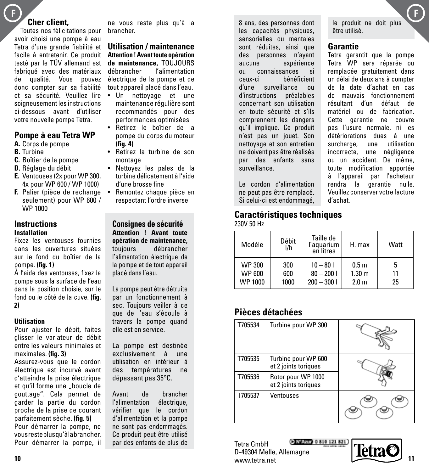### **Cher client,**

Toutes nos félicitations pour avoir choisi une pompe à eau Tetra d'une grande fiabilité et facile à entretenir. Ce produit testé par le TÜV allemand est fabriqué avec des matériaux de qualité. Vous pouvez donc compter sur sa fiabilité et sa sécurité. Veuillez lire soigneusement les instructions ci-dessous avant d'utiliser votre nouvelle pompe Tetra.

#### **Pompe à eau Tetra WP**

- **A.** Corps de pompe
- **B.** Turbine
- **C.** Boîtier de la pompe
- **D.** Réglage du débit
- **E.** Ventouses (2x pour WP 300, 4x pour WP 600 / WP 1000)
- seulement) pour WP 600 / WP 1000

## **Instructions**

### **Installation**

Fixez les ventouses fournies dans les ouvertures situées sur le fond du boîtier de la pompe. **(fig. 1)**

À l'aide des ventouses, fixez la pompe sous la surface de l'eau dans la position choisie, sur le fond ou le côté de la cuve. **(fig. 2)**

#### **Utilisation**

Pour ajuster le débit, faites glisser le variateur de débit entre les valeurs minimales et maximales. **(fig. 3)**

Assurez-vous que le cordon électrique est incurvé avant d'atteindre la prise électrique et qu'il forme une "boucle de gouttage". Cela permet de garder la partie du cordon proche de la prise de courant parfaitement sèche. **(fig. 5)**  Pour démarrer la pompe, ne vous reste plus qu'à la brancher.

Pour démarrer la pompe, il

ne vous reste plus qu'à la brancher.

**Utilisation / maintenance Attention ! Avant toute opération de maintenance, TOUJOURS**<br>débrancher l'alimentation l'alimentation électrique de la pompe et de tout appareil placé dans l'eau.

- Un nettoyage et une maintenance régulière sont recommandés pour des performances optimisées
- Retirez le boîtier de la pompe du corps du moteur **(fig. 4)**
- Retirez la turbine de son montage
- Nettoyez les pales de la turbine délicatement à l'aide d'une brosse fine
- **F.** Palier (pièce de rechange Remontez chaque pièce en respectant l'ordre inverse

**Consignes de sécurité Attention ! Avant toute opération de maintenance,** toujours débrancher l'alimentation électrique de la pompe et de tout appareil placé dans l'eau.

La pompe peut être détruite par un fonctionnement à sec. Toujours veiller à ce que de l'eau s'écoule à travers la pompe quand elle est en service.

La pompe est destinée exclusivement à une utilisation en intérieur à des températures ne dépassant pas 35°C.

Avant de brancher l'alimentation électrique. vérifier que le cordon d'alimentation et la pompe ne sont pas endommagés. Ce produit peut être utilisé par des enfants de plus de 8 ans, des personnes dont les capacités physiques, sensorielles ou mentales sont réduites, ainsi que des personnes n'ayant aucune expérience ou connaissances si ceux-ci bénéficient d'une surveillance ou d'instructions préalables concernant son utilisation en toute sécurité et s'ils comprennent les dangers qu'il implique. Ce produit n'est pas un jouet. Son nettoyage et son entretien ne doivent pas être réalisés par des enfants sans surveillance.

Le cordon d'alimentation ne peut pas être remplacé. Si celui-ci est endommagé,

#### **Caractéristiques techniques** 230V 50 Hz

| Modèle         | Débit<br>I/h | Taille de<br>l'aquarium<br>en litres | H. max            | Watt |
|----------------|--------------|--------------------------------------|-------------------|------|
| <b>WP 300</b>  | 300          | $10 - 801$                           | 0.5 <sub>m</sub>  | 5    |
| <b>WP 600</b>  | 600          | $80 - 2001$                          | 1.30 <sub>m</sub> | 11   |
| <b>WP 1000</b> | 1000         | $200 - 3001$                         | 2.0 <sub>m</sub>  | 25   |

### **Pièces détachées**

| T705534 | Turbine pour WP 300                         |  |
|---------|---------------------------------------------|--|
| T705535 | Turbine pour WP 600<br>et 2 joints toriques |  |
| T705536 | Rotor pour WP 1000<br>et 2 joints toriques  |  |
| T705537 | Ventouses                                   |  |

C NVARID 0 810 121 821 Tetra GmbH D-49304 Melle, Allemagne **10 11**www.tetra.net

le produit ne doit plus être utilisé.

### **Garantie**

Tetra garantit que la pompe Tetra WP sera réparée ou remplacée gratuitement dans un délai de deux ans à compter de la date d'achat en cas de mauvais fonctionnement résultant d'un défaut de matériel ou de fabrication. Cette garantie ne couvre pas l'usure normale, ni les détériorations dues à une surcharge, une utilisation incorrecte, une négligence ou un accident. De même, toute modification apportée à l'appareil par l'acheteur rendra la garantie nulle. Veuillez conserver votre facture d'achat.

letra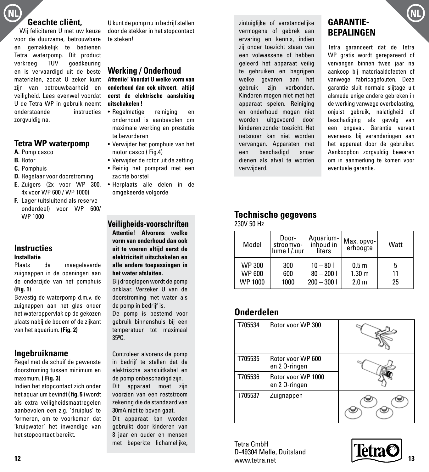## **NL NL**

### **Geachte cliënt,**

Wij feliciteren U met uw keuze voor de duurzame, betrouwbare en gemakkelijk te bedienen Tetra waterpomp. Dit product verkreeg TUV goedkeuring en is vervaardigd uit de beste materialen, zodat U zeker kunt zijn van betrouwbaarheid en veiligheid. Lees evenwel voordat U de Tetra WP in gebruik neemt onderstaande instructies zorgvuldig na.

#### **Tetra WP waterpomp**

- **A.** Pomp casco
- **B.** Rotor
- **C.** Pomphuis
- **D.** Regelaar voor doorstroming
- **E.** Zuigers (2x voor WP 300, 4x voor WP 600 / WP 1000)
- **F.** Lager (uitsluitend als reserve onderdeel) voor WP 600/ WP 1000

#### **Instructies Installatie**

Plaats de meegeleverde zuignappen in de openingen aan de onderzijde van het pomphuis **(Fig. 1**)

Bevestig de waterpomp d.m.v. de zuignappen aan het glas onder het wateroppervlak op de gekozen plaats nabij de bodem of de zijkant van het aquarium. **(Fig. 2)**

### **Ingebruikname**

Regel met de schuif de gewenste doorstroming tussen minimum en maximum. **( Fig. 3)**

Indien het stopcontact zich onder het aquarium bevindt **( fig. 5 )** wordt als extra veiligheidsmaatregelen aanbevolen een z.g. 'druiplus' te formeren, om te voorkomen dat 'kruipwater' het inwendige van het stopcontact bereikt.

U kunt de pomp nu in bedrijf stellen door de stekker in het stopcontact te steken!

### **Werking / Onderhoud**

**Attentie! Voordat U welke vorm van onderhoud dan ook uitvoert, altijd eerst de elektrische aansluiting uitschakelen !**

- Regelmatige reiniging en onderhoud is aanbevolen om maximale werking en prestatie te bevorderen
- Verwijder het pomphuis van het motor casco ( Fig.4)
- Verwijder de rotor uit de zetting
- Reinig het pomprad met een zachte borstel
- Herplaats alle delen in de omgekeerde volgorde

**Veiligheids-voorschriften Attentie! Alvorens welke vorm van onderhoud dan ook uit te voeren altijd eerst de elektriciteit uitschakelen en alle andere toepassingen in het water afsluiten.** Bij drooglopen wordt de pomp

onklaar. Verzeker U van de doorstroming met water als de pomp in bedrijf is.

De pomp is bestemd voor gebruik binnenshuis bij een temperatuur tot maximaal 35ºC.

Controleer alvorens de pomp in bedrijf te stellen dat de elektrische aansluitkabel en de pomp onbeschadigd zijn. Dit apparaat moet zijn voorzien van een reststroom zekering die de standaard van 30mA niet te boven gaat. Dit apparaat kan worden gebruikt door kinderen van

8 jaar en ouder en mensen met beperkte lichamelijke, zintuiglijke of verstandelijke vermogens of gebrek aan ervaring en kennis, indien zij onder toezicht staan van een volwassene of hebben geleerd het apparaat veilig te gebruiken en begrijpen welke gevaren aan het gebruik zijn verbonden. Kinderen mogen niet met het apparaat spelen. Reiniging en onderhoud mogen niet worden uitgevoerd door kinderen zonder toezicht. Het netsnoer kan niet worden vervangen. Apparaten met een beschadigd snoer dienen als afval te worden verwijderd.

### **GARANTIE-BEPALINGEN**

Tetra garandeert dat de Tetra WP gratis wordt gerepareerd of vervangen binnen twee jaar na aankoop bij materiaaldefecten of vanwege fabricagefouten. Deze garantie sluit normale slijtage uit alsmede enige andere gebreken in de werking vanwege overbelasting, onjuist gebruik, nalatigheid of beschadiging als gevolg van een ongeval. Garantie vervalt eveneens bij veranderingen aan het apparaat door de gebruiker. Aankoopbon zorgvuldig bewaren om in aanmerking te komen voor eventuele garantie.

### **Technische gegevens**

230V 50 Hz

| Model         | Door-<br>stroomvo-<br>lume L/.uurl | liters       | Aquarium   Max. opvo-<br>erhoogte | Watt |
|---------------|------------------------------------|--------------|-----------------------------------|------|
| <b>WP 300</b> | 300                                | $10 - 801$   | 0.5 <sub>m</sub>                  | 5    |
| <b>WP 600</b> | 600                                | $80 - 2001$  | 1.30 <sub>m</sub>                 | 11   |
| WP 1000       | 1000                               | $200 - 3001$ | 2.0 <sub>m</sub>                  | 25   |

### **Onderdelen**

| T705534 | Rotor yoor WP 300                  |  |
|---------|------------------------------------|--|
| T705535 | Rotor voor WP 600<br>en 20-ringen  |  |
| T705536 | Rotor voor WP 1000<br>en 20-ringen |  |
| T705537 | Zuignappen                         |  |

Tetra GmbH D-49304 Melle, Duitsland www.tetra.net **12 13**

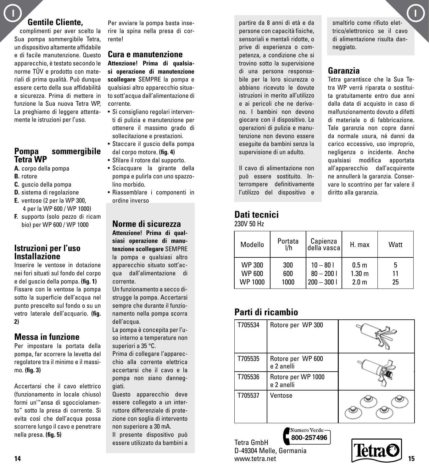#### $\blacksquare$ **Gentile Cliente,**

complimenti per aver scelto la Sua pompa sommergibile Tetra, un dispositivo altamente affidabile e di facile manutenzione. Questo apparecchio, è testato secondo le norme TÜV e prodotto con materiali di prima qualità. Può dunque essere certo della sua affidabilità e sicurezza. Prima di mettere in funzione la Sua nuova Tetra WP, La preghiamo di leggere attentamente le istruzioni per l'uso.

### **Pompa sommergibile Tetra WP**

- **A.** corpo della pompa
- **B.** rotore
- **C.** guscio della pompa
- **D.** sistema di regolazione
- **E.** ventose (2 per la WP 300, 4 per la WP 600 / WP 1000)
- **F.** supporto (solo pezzo di ricam bio) per WP 600 / WP 1000

#### **Istruzioni per l'uso Installazione**

Inserire le ventose in dotazione nei fori situati sul fondo del corpo e del guscio della pompa. **(fig. 1)** Fissare con le ventose la pompa sotto la superficie dell'acqua nel punto prescelto sul fondo o su un vetro laterale dell'acquario. **(fig. 2)**

### **Messa in funzione**

Per impostare la portata della pompa, far scorrere la levetta del regolatore tra il minimo e il massimo. **(fig. 3)**

Accertarsi che il cavo elettrico (funzionamento in locale chiuso) formi un'"ansa di sgocciolamento" sotto la presa di corrente. Si evita così che dell'acqua possa scorrere lungo il cavo e penetrare nella presa. **(fig. 5)**

Per avviare la pompa basta inserire la spina nella presa di corrente!

#### **Cura e manutenzione**

**Attenzione! Prima di qualsiasi operazione di manutenzione scollegare** SEMPRE la pompa e qualsiasi altro apparecchio situato sott'acqua dall'alimentazione di corrente.

- Si consigliano regolari interventi di pulizia e manutenzione per ottenere il massimo grado di sollecitazione e prestazioni.
- Staccare il guscio della pompa dal corpo motore. **(fig. 4)**
- Sfilare il rotore dal supporto.
- Sciacquare la girante della pompa e pulirla con uno spazzolino morbido.
- Riassemblare i componenti in ordine inverso

**Norme di sicurezza**

**Attenzione! Prima di qualsiasi operazione di manutenzione scollegare** SEMPRE la pompa e qualsiasi altro apparecchio situato sott'acqua dall'alimentazione di corrente.

Un funzionamento a secco distrugge la pompa. Accertarsi sempre che durante il funzionamento nella pompa scorra dell'acqua.

La pompa è concepita per l'uso interno a temperature non superiori a 35 °C.

Prima di collegare l'apparecchio alla corrente elettrica accertarsi che il cavo e la pompa non siano danneggiati.

Questo apparecchio deve essere collegato a un interruttore differenziale di protezione con soglia di intervento non superiore a 30 mA.

Il presente dispositivo può essere utilizzato da bambini a

partire da 8 anni di età e da persone con capacità fisiche, sensoriali e mentali ridotte, o prive di esperienza o competenza, a condizione che si trovino sotto la supervisione di una persona responsabile per la loro sicurezza o abbiano ricevuto le dovute istruzioni in merito all'utilizzo e ai pericoli che ne derivano. I bambini non devono giocare con il dispositivo. Le operazioni di pulizia e manutenzione non devono essere eseguite da bambini senza la supervisione di un adulto.

Il cavo di alimentazione non può essere sostituito. Interrompere definitivamente l'utilizzo del dispositivo e

#### **Dati tecnici** 230V 50 Hz

| Modello        | Portata<br>l/h | Capienza<br>della vascal | H. max            | Watt |
|----------------|----------------|--------------------------|-------------------|------|
| <b>WP 300</b>  | 300            | $10 - 801$               | 0.5 <sub>m</sub>  | 5    |
| <b>WP 600</b>  | 600            | $80 - 2001$              | 1.30 <sub>m</sub> | 11   |
| <b>WP 1000</b> | 1000           | $200 - 3001$             | 2.0 <sub>m</sub>  | 25   |

### **Parti di ricambio**



800-257496 Tetra GmbH D-49304 Melle, Germania **14 15**www.tetra.net

smaltirlo come rifiuto elettrico/elettronico se il cavo di alimentazione risulta danneggiato.

### **Garanzia**

Tetra garantisce che la Sua Tetra WP verrà riparata o sostituita gratuitamente entro due anni dalla data di acquisto in caso di malfunzionamento dovuto a difetti di materiale o di fabbricazione. Tale garanzia non copre danni da normale usura, né danni da carico eccessivo, uso improprio, negligenza o incidente. Anche qualsiasi modifica apportata all'apparecchio dall'acquirente ne annullerà la garanzia. Conservare lo scontrino per far valere il diritto alla garanzia.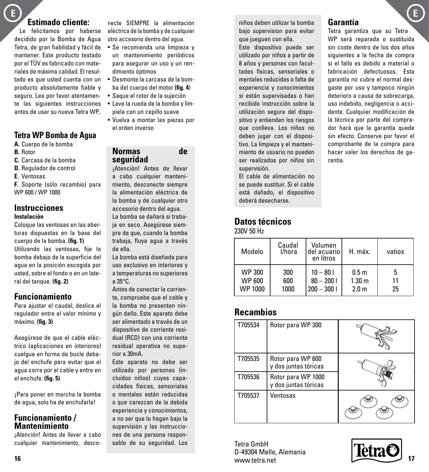### **E E**

### **Estimado cliente:**

Le felicitamos por haberse decidido por la Bomba de Agua Tetra, de gran fiabilidad y fácil de mantener. Este producto testado por el TÜV es fabricado con materiales de máxima calidad. El resultado es que usted cuenta con un producto absolutamente fiable y seguro. Lea por favor atentamente las siguientes instrucciones antes de usar su nueva Tetra WP..

### **Tetra WP Bomba de Agua**

- **A.** Cuerpo de la bomba
- **B.** Rotor
- **C.** Carcasa de la bomba
- **D.** Regulador de control
- **E.** Ventosas
- **F.** Soporte (sólo recambio) para WP 600 / WP 1000

#### **Instrucciones Instalación**

Coloque las ventosas en las aberturas dispuestas en la base del cuerpo de la bomba. **(fig. 1)** Utilizando las ventosas, fije la bomba debajo de la superficie del agua en la posición escogida por usted, sobre el fondo o en un lateral del tanque. **(fig. 2)**

### **Funcionamiento**

Para ajustar el caudal, deslice el regulador entre el valor mínimo y máximo. **(fig. 3)**

Asegúrese de que el cable eléctrico (aplicaciones en interiores) cuelgue en forma de bucle debajo del enchufe para evitar que el agua corra por el cable y entre en el enchufe. **(fig. 5)**

¡Para poner en marcha la bomba de agua, solo ha de enchufarla!

### **Funcionamiento / Mantenimiento**

¡Atención! Antes de llevar a cabo cualquier mantenimiento, desconecte SIEMPRE la alimentación eléctrica de la bomba y de cualquier otro accesorio dentro del agua.

- Se recomienda una limpieza y un mantenimiento periódicos para asegurar un uso y un rendimiento óptimos
- Desmonte la carcasa de la bomba del cuerpo del motor **(fig. 4**)
- Saque el rotor de la sujeción
- Lave la rueda de la bomba y límpiela con un cepillo suave
- Vuelva a montar las piezas por el orden inverso

### **Normas de seguridad**

¡Atención! Antes de llevar a cabo cualquier mantenimiento, desconecte siempre la alimentación eléctrica de la bomba y de cualquier otro accesorio dentro del agua. La bomba se dañará si trabaja en seco. Asegúrese siempre de que, cuando la bomba

trabaja, fluya agua a través de ella.

La bomba está diseñada para uso exclusivo en interiores y a temperaturas no superiores a 35°C.

Antes de conectar la corriente, compruebe que el cable y la bomba no presenten ningún daño. Este aparato debe ser alimentado a través de un dispositivo de corriente residual (RCD) con una corriente residual operativa no superior a 30mA.

Este aparato no debe ser utilizado por personas (incluidos niños) cuyas capacidades físicas, sensoriales o mentales están reducidas o que carezcan de la debida experiencia y conocimientos, a no ser que lo hagan bajo la supervisión y las instrucciones de una persona responsable de su seguridad. Los

niños deben utilizar la bomba bajo supervision para evitar que jueguen con ella.

Este dispositivo puede ser utilizado por niños a partir de 8 años y personas con facultades físicas, sensoriales o mentales reducidas o falta de experiencia y conocimientos si están supervisadas o han recibido instrucción sobre la utilización segura del dispositivo y entienden los riesgos que conlleva. Los niños no deben jugar con el dispositivo. La limpieza y el mantenimiento de usuario no pueden ser realizados por niños sin supervisión.

El cable de alimentación no se puede sustituir. Si el cable está dañado, el dispositivo deberá desecharse.

### **Datos técnicos**

230V 50 Hz

| Modelo         | Caudal<br>l/hora | Volumen<br>del acuario I<br>en litros | H. máx.           | vatios |
|----------------|------------------|---------------------------------------|-------------------|--------|
| WP 300         | 300              | $10 - 801$                            | 0.5 <sub>m</sub>  | 5      |
| <b>WP 600</b>  | 600              | $80 - 2001$                           | 1.30 <sub>m</sub> | 11     |
| <b>WP 1000</b> | 1000             | $200 - 3001$                          | 2.0 <sub>m</sub>  | 25     |

### **Recambios**

| T705534 | Rotor para WP 300                          |  |
|---------|--------------------------------------------|--|
| T705535 | Rotor para WP 600<br>y dos juntas tóricas  |  |
| T705536 | Rotor para WP 1000<br>y dos juntas tóricas |  |
| T705537 | Ventosas                                   |  |

Tetra GmbH D-49304 Melle, Alemania www.tetra.net **16 17**



**Garantía**

Tetra garantiza que su Tetra WP será reparada o sustituida sin coste dentro de los dos años siguientes a la fecha de compra si el fallo es debido a material o fabricación defectuosos. Esta garantía no cubre el normal desgaste por uso y tampoco ningún deterioro a causa de sobrecarga, uso indebido, negligencia o accidente. Cualquier modificación de la técnica por parte del comprador hará que la garantía quede sin efecto. Conserve por favor el comprobante de la compra para hacer valer los derechos de garantía.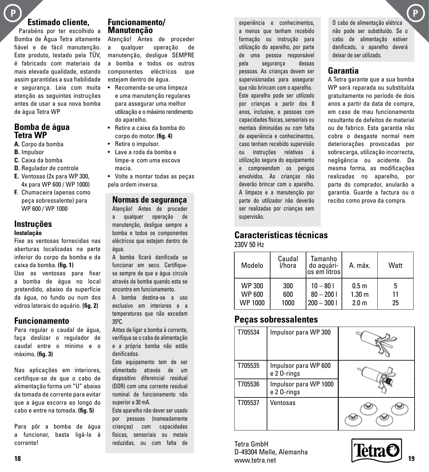### **P P Estimado cliente,**

Parabéns por ter escolhido a Bomba de Água Tetra altamente fiável e de fácil manutenção. Este produto, testado pela TÜV, é fabricado com materiais da mais elevada qualidade, estando assim garantidas a sua fiabilidade e segurança. Leia com muita atenção as seguintes instruções antes de usar a sua nova bomba de água Tetra WP

#### **Bomba de água Tetra WP**

- **A.** Corpo da bomba
- **B.** Impulsor
- **C.** Caixa da bomba
- **D.** Regulador de controle
- **E.** Ventosas (2x para WP 300, 4x para WP 600 / WP 1000)
- **F.** Chumaceira (apenas como peça sobressalente) para WP 600 / WP 1000

#### **Instruções Instalação**

Fixe as ventosas fornecidas nas aberturas localizadas na parte inferior do corpo da bomba e da caixa da bomba. **(fig. 1)**

Use as ventosas para fixar a bomba de água no local pretendido, abaixo da superfície da água, no fundo ou num dos vidros laterais do aquário. **(fig. 2)**

#### **Funcionamento**

Para regular o caudal de água, faça deslizar o regulador de caudal entre o mínimo e o máximo. **(fig. 3)**

Nas aplicações em interiores, certifique-se de que o cabo de alimentação forma um "U" abaixo da tomada de corrente para evitar que a água escorra ao longo do cabo e entre na tomada. **(fig. 5)**

Para pôr a bomba de água a funcionar, basta ligá-la à corrente!

#### **Funcionamento/ Manutenção**

Atenção! Antes de proceder a qualquer operação de manutenção, desligue SEMPRE a bomba e todos os outros componentes eléctricos que estejam dentro de água.

- Recomenda-se uma limpeza e uma manutenção regulares para assegurar uma melhor utilização e o máximo rendimento do aparelho.
- Retire a caixa da bomba do corpo do motor. **(fig. 4)**
- Retire o impulsor.
- Lave a roda da bomba e limpe-a com uma escova macia.
- Volte a montar todas as peças pela ordem inversa.

#### **Normas de segurança**

Atenção! Antes de proceder a qualquer operação de manutenção, desligue sempre a bomba e todos os componentes eléctricos que estejam dentro de água.

A bomba ficará danificada se funcionar em seco. Certifiquese sempre de que a água circula através da bomba quando esta se encontra em funcionamento.

A bomba destina-se a uso exclusivo em interiores e a temperaturas que não excedam 35ºC.

Antes de ligar a bomba à corrente, verifique se o cabo de alimentação e a própria bomba não estão danificados.

Este equipamento tem de ser alimentado através de um dispositivo diferencial residual (DDR) com uma corrente residual nominal de funcionamento não superior a 30 mA.

Este aparelho não dever ser usado por pessoas (nomeadamente crianças) com capacidades físicas, sensoriais ou metais reduzidas, ou com falta de

experiência e conhecimentos, a menos que tenham recebido formação ou instrução para utilização do aparelho, por parte de uma pessoa responsável pela segurança dessas pessoas. As crianças devem ser supervisionadas para assegurar que não brincam com o aparelho. Este aparelho pode ser utilizado por crianças a partir dos 8 anos, inclusive, e pessoas com capacidades físicas, sensoriais ou mentais diminuídas ou com falta de experiência e conhecimentos, caso tenham recebido supervisão ou instruções relativas à utilização segura do equipamento e compreendam os perigos envolvidos. As crianças não deverão brincar com o aparelho. A limpeza e a manutenção por parte do utilizador não deverão ser realizadas por crianças sem supervisão.

#### O cabo de alimentação elétrica não pode ser substituído. Se o cabo de alimentação estiver danificado, o aparelho deverá deixar de ser utilizado.

### **Garantia**

A Tetra garante que a sua bomba WP será reparada ou substituída gratuitamente no período de dois anos a partir da data de compra, em caso de mau funcionamento resultante de defeitos de material ou de fabrico. Esta garantia não cobre o desgaste normal nem deteriorações provocadas por sobrecarga, utilização incorrecta, negligência ou acidente. Da mesma forma, as modificações realizadas no aparelho, por parte do comprador, anularão a garantia. Guarde a factura ou o recibo como prova da compra.

### **Características técnicas**

#### 230V 50 Hz

| Modelo        | Caudal<br>l/hora | Tamanho<br>do aquári-<br>os em litrosl | A. máx.           | Watt |
|---------------|------------------|----------------------------------------|-------------------|------|
| <b>WP 300</b> | 300              | $10 - 801$                             | 0.5 <sub>m</sub>  | 5    |
| <b>WP 600</b> | 600              | $80 - 2001$                            | 1.30 <sub>m</sub> | 11   |
| WP 1000       | 1000             | $200 - 3001$                           | 2.0 <sub>m</sub>  | 25   |

### **Peças sobressalentes**

| T705534 | Impulsor para WP 300                |  |
|---------|-------------------------------------|--|
| T705535 | Impulsor para WP 600<br>e 20-rings  |  |
| T705536 | Impulsor para WP 1000<br>e 20-rings |  |
| T705537 | Ventosas                            |  |

Tetra GmbH D-49304 Melle, Alemanha www.tetra.net **18 19 1999 1999 1999 1999 1999 1999 1999 1999 1999 1999 1999 1999 1999** 

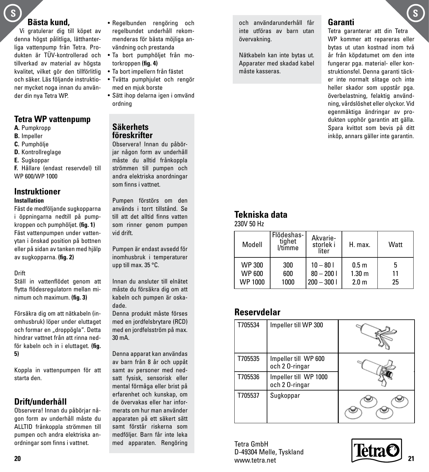### **Bästa kund,**

Vi gratulerar dig till köpet av denna högst pålitliga, lätthanterliga vattenpump från Tetra. Produkten är TÜV-kontrollerad och tillverkad av material av högsta kvalitet, vilket gör den tillförlitlig och säker. Läs följande instruktioner mycket noga innan du använder din nya Tetra WP.

### **Tetra WP vattenpump**

- **A.** Pumpkropp
- **B.** Impeller
- **C.** Pumphölje
- **D.** Kontrollreglage
- **E.** Sugkoppar

**F.** Hållare (endast reservdel) till WP 600/WP 1000

#### **Instruktioner Installation**

Fäst de medföljande sugkopparna i öppningarna nedtill på pumpkroppen och pumphöljet. **(fig. 1)** Fäst vattenpumpen under vattenytan i önskad position på bottnen eller på sidan av tanken med hjälp av sugkopparna. **(fig. 2)**

#### Drift

Ställ in vattenflödet genom att flytta flödesregulatorn mellan minimum och maximum. **(fig. 3)**

Försäkra dig om att nätkabeln (inomhusbruk) löper under eluttaget och formar en "droppögla". Detta hindrar vattnet från att rinna nedför kabeln och in i eluttaget. **(fig. 5)**

Koppla in vattenpumpen för att starta den.

### **Drift/underhåll**

Observera! Innan du påbörjar någon form av underhåll måste du ALLTID frånkoppla strömmen till pumpen och andra elektriska anordningar som finns i vattnet.

- Ta bort pumphöljet från motorkroppen **(fig. 4)**
- Ta bort impellern från fästet
- Tvätta pumphjulet och rengör med en mjuk borste
- Sätt ihop delarna igen i omvänd ordning

#### **Säkerhets föreskrifter**

Observera! Innan du påbörjar någon form av underhåll måste du alltid frånkoppla strömmen till pumpen och andra elektriska anordningar som finns i vattnet.

Pumpen förstörs om den används i torrt tillstånd. Se till att det alltid finns vatten som rinner genom pumpen vid drift.

Pumpen är endast avsedd för inomhusbruk i temperaturer upp till max. 35 °C.

Innan du ansluter till elnätet måste du försäkra dig om att kabeln och pumpen är oskadade.

Denna produkt måste förses med en jordfelsbrytare (RCD) med en jordfelsström på max. 30 mA.

Denna apparat kan användas av barn från 8 år och uppåt samt av personer med nedsatt fysisk, sensorisk eller mental förmåga eller brist på erfarenhet och kunskap, om de övervakas eller har informerats om hur man använder apparaten på ett säkert sätt samt förstår riskerna som medföljer. Barn får inte leka med apparaten. Rengöring och användarunderhåll får inte utföras av barn utan övervakning.

Nätkabeln kan inte bytas ut. Apparater med skadad kabel måste kasseras.

### **Garanti**

Tetra garanterar att din Tetra WP kommer att repareras eller bytas ut utan kostnad inom två år från köpdatumet om den inte fungerar pga. material- eller konstruktionsfel. Denna garanti täcker inte normalt slitage och inte heller skador som uppstår pga. överbelastning, felaktig användning, vårdslöshet eller olyckor. Vid egenmäktiga ändringar av produkten upphör garantin att gälla. Spara kvittot som bevis på ditt inköp, annars gäller inte garantin.

### **Tekniska data**

230V 50 Hz

| Modell        | Flödeshas-<br>tiahet<br>l/timme | Akvarie-<br>storlek i<br>liter | H. max.           | Watt |
|---------------|---------------------------------|--------------------------------|-------------------|------|
| <b>WP 300</b> | 300                             | $10 - 801$                     | 0.5 <sub>m</sub>  | 5    |
| <b>WP 600</b> | 600                             | $80 - 2001$                    | 1.30 <sub>m</sub> | 11   |
| WP 1000       | 1000                            | $200 - 3001$                   | 2.0 <sub>m</sub>  | 25   |

### **Reservdelar**

| T705534 | Impeller till WP 300                   |  |
|---------|----------------------------------------|--|
| T705535 | Impeller till WP 600<br>och 20-ringar  |  |
| T705536 | Impeller till WP 1000<br>och 20-ringar |  |
| T705537 | Sugkoppar                              |  |

Tetra GmbH D-49304 Melle, Tyskland www.tetra.net **20 21**



 $\mathbf{s}$  **S**  $\mathbf{s}$  **S**  $\mathbf{s}$  **S**  $\mathbf{s}$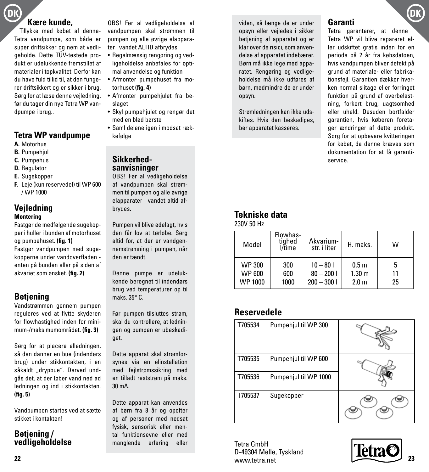## **DK DK**

### **Kære kunde,**

Tillykke med købet af denne-Tetra vandpumpe, som både er super driftsikker og nem at vedligeholde. Dette TÜV-testede produkt er udelukkende fremstillet af materialer i topkvalitet. Derfor kan du have fuld tillid til, at den fungerer driftsikkert og er sikker i brug. Sørg for at læse denne vejledning, før du tager din nye Tetra WP vandpumpe i brug..

### **Tetra WP vandpumpe**

- **A.** Motorhus
- **B.** Pumpehjul
- **C.** Pumpehus
- **D.** Regulator
- **E.** Sugekopper
- **F.** Leje (kun reservedel) til WP 600 / WP 1000

#### **Vejledning Montering**

Fastgør de medfølgende sugekopper i huller i bunden af motorhuset og pumpehuset. **(fig. 1)** Fastgør vandpumpen med sugekopperne under vandoverfladen enten på bunden eller på siden af akvariet som ønsket. **(fig. 2)**

### **Betjening**

Vandstrømmen gennem pumpen reguleres ved at flytte skyderen for flowhastighed inden for minimum-/maksimumområdet. **(fig. 3)**

Sørg for at placere elledningen, så den danner en bue (indendørs brug) under stikkontakten, i en såkaldt "drypbue". Derved undgås det, at der løber vand ned ad ledningen og ind i stikkontakten. **(fig. 5)**

Vandpumpen startes ved at sætte stikket i kontakten!

### **Betjening / vedligeholdelse**

OBS! Før al vedligeholdelse af vandpumpen skal strømmen til pumpen og alle øvrige elapparater i vandet ALTID afbrydes.

- Regelmæssig rengøring og vedligeholdelse anbefales for optimal anvendelse og funktion
- Afmonter pumpehuset fra motorhuset **(fig. 4)**
- Afmonter pumpehjulet fra beslaget
- Skyl pumpehjulet og rengør det med en blød børste
- Saml delene igen i modsat rækkefølge

### **Sikkerhedsanvisninger**

OBS! Før al vedligeholdelse af vandpumpen skal strømmen til pumpen og alle øvrige elapparater i vandet altid afbrydes.

Pumpen vil blive ødelagt, hvis den får lov at tørløbe. Sørg altid for, at der er vandgennemstrømning i pumpen, når den er tændt.

Denne pumpe er udelukkende beregnet til indendørs brug ved temperaturer op til maks. 35° C.

Før pumpen tilsluttes strøm, skal du kontrollere, at ledningen og pumpen er ubeskadiget.

Dette apparat skal strømforsynes via en elinstallation med fejlstrømssikring med en tilladt reststrøm på maks. 30 mA.

Dette apparat kan anvendes af børn fra 8 år og opefter og af personer med nedsat fysisk, sensorisk eller mental funktionsevne eller med manglende erfaring eller

viden, så længe de er under opsyn eller vejledes i sikker betjening af apparatet og er klar over de risici, som anvendelse af apparatet indebærer. Børn må ikke lege med apparatet. Rengøring og vedligeholdelse må ikke udføres af børn, medmindre de er under opsyn.

Strømledningen kan ikke udskiftes. Hvis den beskadiges, bør apparatet kasseres.

### **Garanti**

Tetra garanterer, at denne Tetra WP vil blive repareret eller udskiftet gratis inden for en periode på 2 år fra købsdatoen, hvis vandpumpen bliver defekt på grund af materiale- eller fabrikationsfejl. Garantien dækker hverken normal slitage eller forringet funktion på grund af overbelastning, forkert brug, uagtsomhed eller uheld. Desuden bortfalder garantien, hvis køberen foretager ændringer af dette produkt. Sørg for at opbevare kvitteringen for købet, da denne kræves som dokumentation for at få garantiservice.

### **Tekniske data**

230V 50 Hz

| Model   | Flowhas-<br>tiahed<br>l/time | Akvarium-<br>str. i liter | H. maks.          | W  |
|---------|------------------------------|---------------------------|-------------------|----|
| WP 300  | 300                          | $10 - 801$                | 0.5 <sub>m</sub>  | 5  |
| WP 600  | 600                          | $80 - 2001$               | 1.30 <sub>m</sub> | 11 |
| WP 1000 | 1000                         | $200 - 3001$              | 2.0 <sub>m</sub>  | 25 |

### **Reservedele**

| T705534 | Pumpehjul til WP 300  |  |
|---------|-----------------------|--|
| T705535 | Pumpehjul til WP 600  |  |
| T705536 | Pumpehjul til WP 1000 |  |
| T705537 | Sugekopper            |  |

Tetra GmbH D-49304 Melle, Tyskland www.tetra.net **22 23**

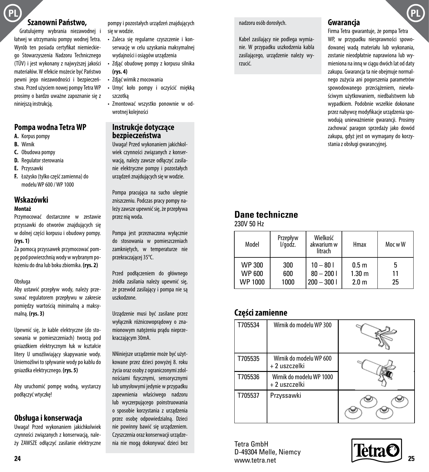### **Szanowni Państwo,**

Gratulujemy wybrania niezawodnej i łatwej w utrzymaniu pompy wodnej Tetra. Wyrób ten posiada certyfikat niemieckiego Stowarzyszenia Nadzoru Technicznego (TÜV) i jest wykonany z najwyższej jakości materiałów. W efekcie możecie być Państwo pewni jego niezawodności i bezpieczeństwa. Przed użyciem nowej pompy Tetra WP prosimy o bardzo uważne zapoznanie się z niniejszą instrukcją.

#### **Pompa wodna Tetra WP**

- **A.** Korpus pompy
- **B.** Wirnik
- **C.** Obudowa pompy
- **D.** Regulator sterowania
- **E.** Przyssawki
- **F.** Łożysko (tylko część zamienna) do modelu WP 600 / WP 1000

### **Wskazówki**

#### **Montaż**

Przymocować dostarczone w zestawie przyssawki do otworów znajdujących się w dolnej części korpusu i obudowy pompy. **(rys. 1)**

Za pomocą przyssawek przymocować pompę pod powierzchnią wody w wybranym położeniu do dna lub boku zbiornika. **(rys. 2)**

#### Obsługa

Aby ustawić przepływ wody, należy przesuwać regulatorem przepływu w zakresie pomiędzy wartością minimalną a maksymalną. **(rys. 3)**

Upewnić się, że kable elektryczne (do stosowania w pomieszczeniach) tworzą pod gniazdkiem elektrycznym łuk w kształcie litery U umożliwiający skapywanie wody. Uniemożliwi to spływanie wody po kablu do gniazdka elektrycznego. **(rys. 5)**

Aby uruchomić pompę wodną, wystarczy podłączyć wtyczkę!

#### **Obsługa i konserwacja**

Uwaga! Przed wykonaniem jakichkolwiek czynności związanych z konserwacją, należy ZAWSZE odłączyć zasilanie elektryczne pompy i pozostałych urządzeń znajdujących się w wodzie.

- Zaleca się regularne czyszczenie i konserwację w celu uzyskania maksymalnej wydajności i osiągów urządzenia
- Zdjąć obudowę pompy z korpusu silnika **(rys. 4)**
- Zdjąć wirnik z mocowania
- Umyć koło pompy i oczyścić miękką szczotką
- Zmontować wszystko ponownie w odwrotnej kolejności

#### **Instrukcje dotyczące bezpieczeństwa**

Uwaga! Przed wykonaniem jakichkolwiek czynności związanych z konserwacia, należy zawsze odłaczyć zasilanie elektryczne pompy i pozostałych urządzeń znajdujących się w wodzie.

Pompa pracująca na sucho ulegnie zniszczeniu. Podczas pracy pompy należy zawsze upewnić się, że przepływa przez nią woda.

Pompa jest przeznaczona wyłącznie do stosowania w pomieszczeniach zamkniętych, w temperaturze nie przekraczającej 35°C.

Przed podłączeniem do głównego źródła zasilania należy upewnić się, że przewód zasilający i pompa nie są uszkodzone.

Urządzenie musi być zasilane przez wyłącznik różnicowoprądowy o znamionowym natężeniu prądu nieprzekraczającym 30mA.

NNiniejsze urządzenie może być użytkowane przez dzieci powyżej 8. roku życia oraz osoby z ograniczonymi zdolnościami fizycznymi, sensorycznymi lub umysłowymi jedynie w przypadku zapewnienia właściwego nadzoru lub wyczerpującego poinstruowania o sposobie korzystania z urządzenia przez osobę odpowiedzialną. Dzieci nie powinny bawić się urządzeniem. Czyszczenia oraz konserwacji urządzenia nie mogą dokonywać dzieci bez nadzoru osób dorosłych.

Kabel zasilający nie podlega wymianie. W przypadku uszkodzenia kabla zasilającego, urządzenie należy wyrzucić.

#### **Gwarancja**

Firma Tetra gwarantuje, że pompa Tetra WP, w przypadku niesprawności spowodowanej wadą materiału lub wykonania, zostanie nieodpłatnie naprawiona lub wymieniona na inną w ciągu dwóch lat od daty zakupu. Gwarancja ta nie obejmuje normalnego zużycia ani pogorszenia parametrów spowodowanego przeciążeniem, niewłaściwym użytkowaniem, niedbalstwem lub wypadkiem. Podobnie wszelkie dokonane przez nabywcę modyfikacje urządzenia spowodują unieważnienie gwarancji. Prosimy zachować paragon sprzedaży jako dowód zakupu, gdyż jest on wymagany do korzystania z obsługi gwarancyjnej.

### **Dane techniczne**

230V 50 Hz

| Model                              | Przepływ<br>l/godz. | Wielkość<br>akwarium w<br>litrach         | Hmax                                                      | Moc w W  |
|------------------------------------|---------------------|-------------------------------------------|-----------------------------------------------------------|----------|
| <b>WP 300</b><br>WP 600<br>WP 1000 | 300<br>600<br>1000  | $10 - 801$<br>$80 - 2001$<br>$200 - 3001$ | 0.5 <sub>m</sub><br>1.30 <sub>m</sub><br>2.0 <sub>m</sub> | 11<br>25 |

### **Części zamienne**

| T705534 | Wirnik do modelu WP 300                   |  |
|---------|-------------------------------------------|--|
| T705535 | Wirnik do modelu WP 600<br>+ 2 uszczelki  |  |
| T705536 | Wirnik do modelu WP 1000<br>+ 2 uszczelki |  |
| T705537 | Przyssawki                                |  |

Tetra GmbH D-49304 Melle, Niemcy www.tetra.net **24 25**

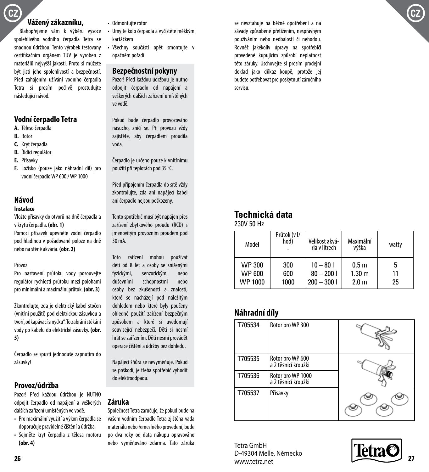### **CZ CZ**

### **Vážený zákazníku,**

Blahopřejeme vám k výběru vysoce spolehlivého vodního čerpadla Tetra se snadnou údržbou. Tento výrobek testovaný certifikačním orgánem TUV je vyroben z materiálů nejvyšší jakosti. Proto si můžete být jisti jeho spolehlivostí a bezpečností. Před zahájením užívání vodního čerpadla Tetra si prosím pečlivě prostudujte následující návod.

### **Vodní čerpadlo Tetra**

- **A.** Těleso čerpadla
- **B.** Rotor
- **C.** Kryt čerpadla
- **D.** Řídící regulátor
- **E.** Přísavky
- **F.** Ložisko (pouze jako náhradní díl) pro vodní čerpadlo WP 600 / WP 1000

#### **Návod**

#### **Instalace**

Vložte přísavky do otvorů na dně čerpadla a v krytu čerpadla. **(obr. 1)**

Pomocí přísavek upevněte vodní čerpadlo pod hladinou v požadované poloze na dně nebo na stěně akvária. **(obr. 2)**

#### Provoz

Pro nastavení průtoku vody posouvejte regulátor rychlosti průtoku mezi polohami pro minimální a maximální průtok. **(obr. 3)**

Zkontrolujte, zda je elektrický kabel stočen (vnitřní použití) pod elektrickou zásuvkou a tvoří "odkapávací smyčku". To zabrání stékání vody po kabelu do elektrické zásuvky. **(obr. 5)**

Čerpadlo se spustí jednoduše zapnutím do zásuvky!

#### **Provoz/údržba**

Pozor! Před každou údržbou je NUTNO odpojit čerpadlo od napájení a veškerých dalších zařízení umístěných ve vodě.

- Pro maximální využití a výkon čerpadla se doporučuje pravidelné čištění a údržba
- Sejměte kryt čerpadla z tělesa motoru **(obr. 4)**
- Odmontujte rotor
- Umyjte kolo čerpadla a vyčistěte měkkým kartáčkem
- Všechny součásti opět smontujte v opačném pořadí

#### **Bezpečnostní pokyny**

Pozor! Před každou údržbou je nutno odpojit čerpadlo od napájení a veškerých dalších zařízení umístěných ve vodě.

Pokud bude čerpadlo provozováno nasucho, zničí se. Při provozu vždy zajistěte, aby čerpadlem proudila voda.

Čerpadlo je určeno pouze k vnitřnímu použití při teplotách pod 35 °C.

Před připojením čerpadla do sítě vždy zkontrolujte, zda ani napájecí kabel ani čerpadlo nejsou poškozeny.

Tento spotřebič musí být napájen přes zařízení zbytkového proudu (RCD) s jmenovitým provozním proudem pod 30 mA.

Toto zařízení mohou používat děti od 8 let a osoby se sníženými fyzickými, senzorickými nebo duševními schopnostmi nebo osoby bez zkušeností a znalostí, které se nacházejí pod náležitým dohledem nebo které byly poučeny ohledně použití zařízení bezpečným způsobem a které si uvědomují související nebezpečí. Děti si nesmí hrát se zařízením. Děti nesmí provádět operace čištění a údržby bez dohledu.

Napájecí šňůra se nevyměňuje. Pokud se poškodí, je třeba spotřebič vyhodit do elektroodpadu.

#### **Záruka**

Společnost Tetra zaručuje, že pokud bude na vašem vodním čerpadle Tetra zjištěna vada materiálu nebo řemeslného provedení, bude po dva roky od data nákupu opravováno nebo vyměňováno zdarma. Tato záruka se nevztahuje na běžné opotřebení a na závady způsobené přetížením, nesprávným používáním nebo nedbalostí či nehodou. Rovněž jakékoliv úpravy na spotřebiči provedené kupujícím způsobí neplatnost této záruky. Uschovejte si prosím prodejní doklad jako důkaz koupě, protože jej budete potřebovat pro poskytnutí záručního servisu.

### **Technická data**

230V 50 Hz

| Model                                     | Průtok (v I/<br>hod) | Velikost akvá-<br>ria v litrech           | Maximální<br>výška                                        | watty    |
|-------------------------------------------|----------------------|-------------------------------------------|-----------------------------------------------------------|----------|
| <b>WP 300</b><br><b>WP 600</b><br>WP 1000 | 300<br>600<br>1000   | $10 - 801$<br>$80 - 2001$<br>$200 - 3001$ | 0.5 <sub>m</sub><br>1.30 <sub>m</sub><br>2.0 <sub>m</sub> | 11<br>25 |

### **Náhradní díly**

| T705534 | Rotor pro WP 300                         |  |
|---------|------------------------------------------|--|
| T705535 | Rotor pro WP 600<br>a 2 těsnicí kroužki  |  |
| T705536 | Rotor pro WP 1000<br>a 2 těsnicí kroužki |  |
| T705537 | Přísavky                                 |  |

Tetra GmbH D-49304 Melle, Německo www.tetra.net 26 *<u>Property and the second second second second second second second second second second second second second second second second second second second second second second second second second second second second sec*</u>